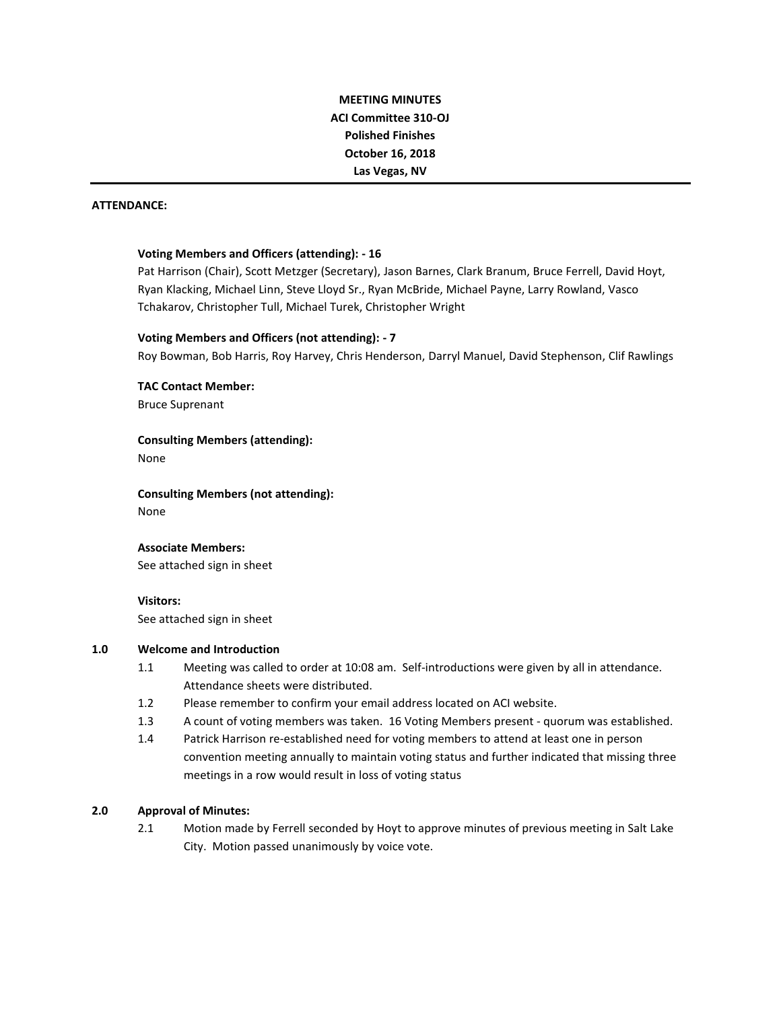# **MEETING MINUTES ACI Committee 310-OJ Polished Finishes October 16, 2018 Las Vegas, NV**

#### **ATTENDANCE:**

#### **Voting Members and Officers (attending): - 16**

Pat Harrison (Chair), Scott Metzger (Secretary), Jason Barnes, Clark Branum, Bruce Ferrell, David Hoyt, Ryan Klacking, Michael Linn, Steve Lloyd Sr., Ryan McBride, Michael Payne, Larry Rowland, Vasco Tchakarov, Christopher Tull, Michael Turek, Christopher Wright

#### **Voting Members and Officers (not attending): - 7**

Roy Bowman, Bob Harris, Roy Harvey, Chris Henderson, Darryl Manuel, David Stephenson, Clif Rawlings

**TAC Contact Member:** Bruce Suprenant

## **Consulting Members (attending):**

None

**Consulting Members (not attending):** None

#### **Associate Members:**

See attached sign in sheet

#### **Visitors:**

See attached sign in sheet

#### **1.0 Welcome and Introduction**

- 1.1 Meeting was called to order at 10:08 am. Self-introductions were given by all in attendance. Attendance sheets were distributed.
- 1.2 Please remember to confirm your email address located on ACI website.
- 1.3 A count of voting members was taken. 16 Voting Members present quorum was established.
- 1.4 Patrick Harrison re-established need for voting members to attend at least one in person convention meeting annually to maintain voting status and further indicated that missing three meetings in a row would result in loss of voting status

#### **2.0 Approval of Minutes:**

2.1 Motion made by Ferrell seconded by Hoyt to approve minutes of previous meeting in Salt Lake City. Motion passed unanimously by voice vote.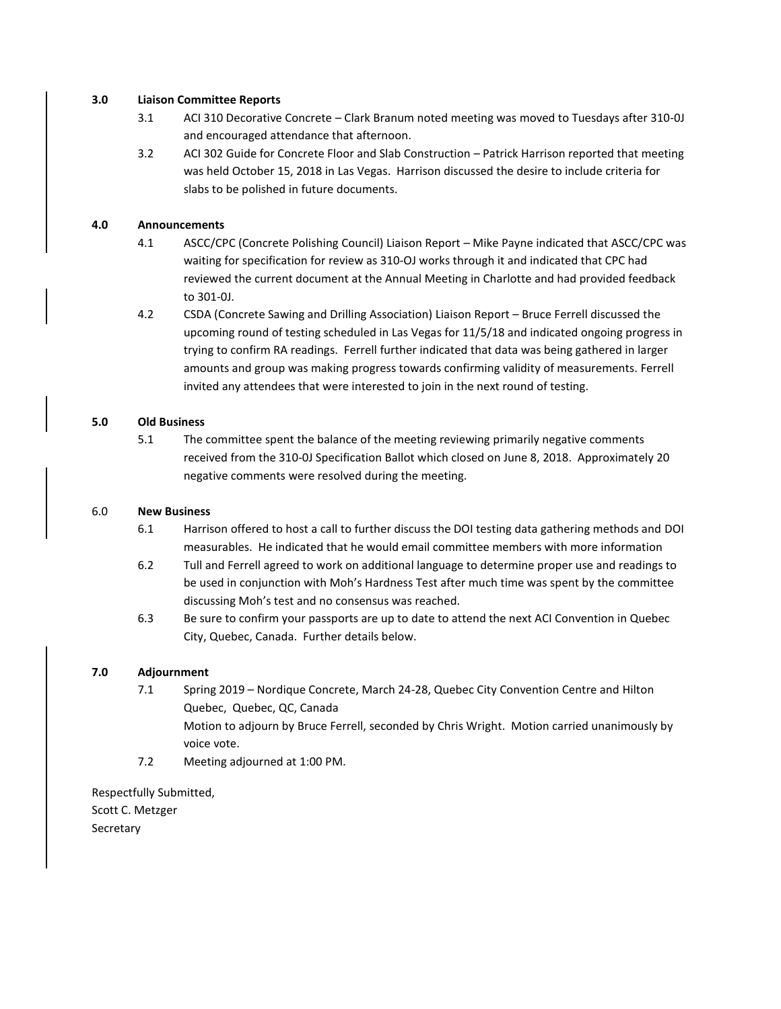## **3.0 Liaison Committee Reports**

- 3.1 ACI 310 Decorative Concrete Clark Branum noted meeting was moved to Tuesdays after 310-0J and encouraged attendance that afternoon.
- 3.2 ACI 302 Guide for Concrete Floor and Slab Construction Patrick Harrison reported that meeting was held October 15, 2018 in Las Vegas. Harrison discussed the desire to include criteria for slabs to be polished in future documents.

# **4.0 Announcements**

- 4.1 ASCC/CPC (Concrete Polishing Council) Liaison Report Mike Payne indicated that ASCC/CPC was waiting for specification for review as 310-OJ works through it and indicated that CPC had reviewed the current document at the Annual Meeting in Charlotte and had provided feedback to 301-0J.
- 4.2 CSDA (Concrete Sawing and Drilling Association) Liaison Report Bruce Ferrell discussed the upcoming round of testing scheduled in Las Vegas for 11/5/18 and indicated ongoing progress in trying to confirm RA readings. Ferrell further indicated that data was being gathered in larger amounts and group was making progress towards confirming validity of measurements. Ferrell invited any attendees that were interested to join in the next round of testing.

# **5.0 Old Business**

5.1 The committee spent the balance of the meeting reviewing primarily negative comments received from the 310-0J Specification Ballot which closed on June 8, 2018. Approximately 20 negative comments were resolved during the meeting.

## 6.0 **New Business**

- 6.1 Harrison offered to host a call to further discuss the DOI testing data gathering methods and DOI measurables. He indicated that he would email committee members with more information
- 6.2 Tull and Ferrell agreed to work on additional language to determine proper use and readings to be used in conjunction with Moh's Hardness Test after much time was spent by the committee discussing Moh's test and no consensus was reached.
- 6.3 Be sure to confirm your passports are up to date to attend the next ACI Convention in Quebec City, Quebec, Canada. Further details below.

# **7.0 Adjournment**

- 7.1 Spring 2019 Nordique Concrete, March 24-28, Quebec City Convention Centre and Hilton Quebec, Quebec, QC, Canada Motion to adjourn by Bruce Ferrell, seconded by Chris Wright. Motion carried unanimously by voice vote.
- 7.2 Meeting adjourned at 1:00 PM.

Respectfully Submitted, Scott C. Metzger **Secretary**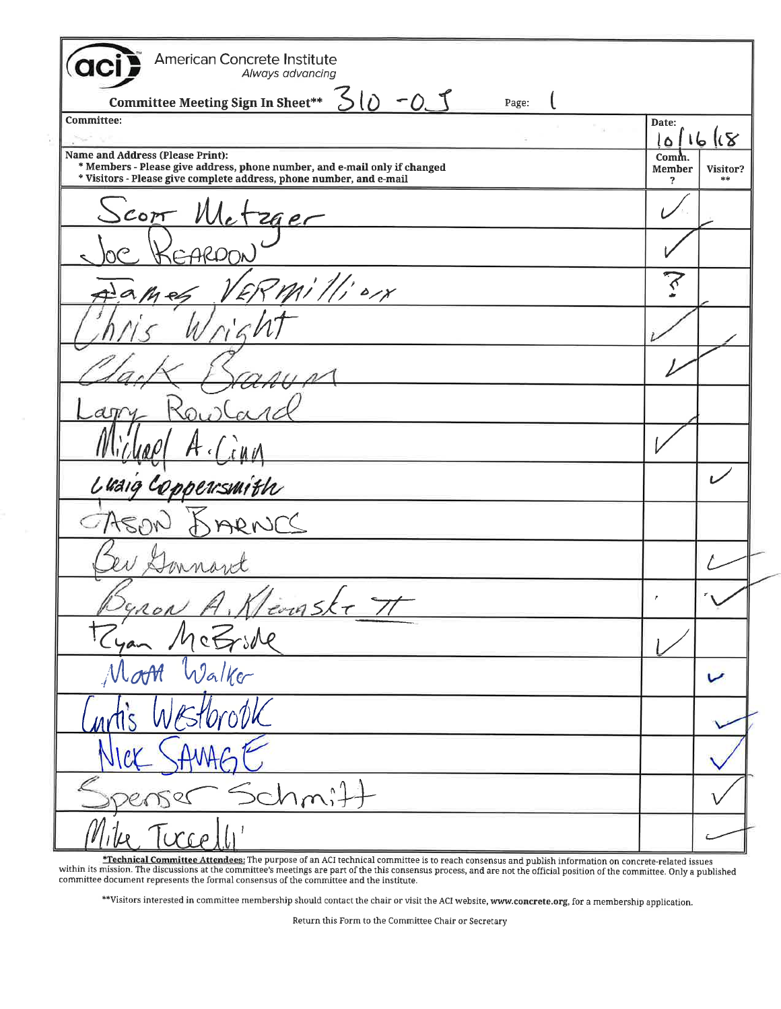| <b>American Concrete Institute</b><br>Always advancing                                                                                                                               |                      |                |
|--------------------------------------------------------------------------------------------------------------------------------------------------------------------------------------|----------------------|----------------|
| Committee Meeting Sign In Sheet** $50 - 25$<br>Page:                                                                                                                                 |                      |                |
| <b>Committee:</b>                                                                                                                                                                    | Date:                | 1011618        |
| Name and Address (Please Print):<br>* Members - Please give address, phone number, and e-mail only if changed<br>* Visitors - Please give complete address, phone number, and e-mail | Comm.<br>Member<br>2 | Visitor?<br>崇崇 |
|                                                                                                                                                                                      |                      |                |
| Scott Metzger                                                                                                                                                                        |                      |                |
| ERMillion                                                                                                                                                                            |                      |                |
|                                                                                                                                                                                      |                      |                |
|                                                                                                                                                                                      |                      |                |
|                                                                                                                                                                                      |                      |                |
|                                                                                                                                                                                      |                      |                |
| Luaig Coppersmith                                                                                                                                                                    |                      |                |
|                                                                                                                                                                                      |                      |                |
|                                                                                                                                                                                      |                      |                |
|                                                                                                                                                                                      |                      |                |
| Dynon A. Klenske II<br>Ryan McGride<br>Moon Walker                                                                                                                                   |                      |                |
|                                                                                                                                                                                      |                      |                |
| intis Westbrook                                                                                                                                                                      |                      |                |
| NICK SAMAGE                                                                                                                                                                          |                      |                |
| Spenser Schmitt                                                                                                                                                                      |                      |                |
|                                                                                                                                                                                      |                      |                |

**Fechnical Committee Attendees:** The purpose of an ACI technical committee is to reach consensus and publish information on concrete-related issues<br>within its mission. The discussions at the committee's meetings are part o

\*\*Visitors interested in committee membership should contact the chair or visit the ACI website, www.concrete.org, for a membership application.

Return this Form to the Committee Chair or Secretary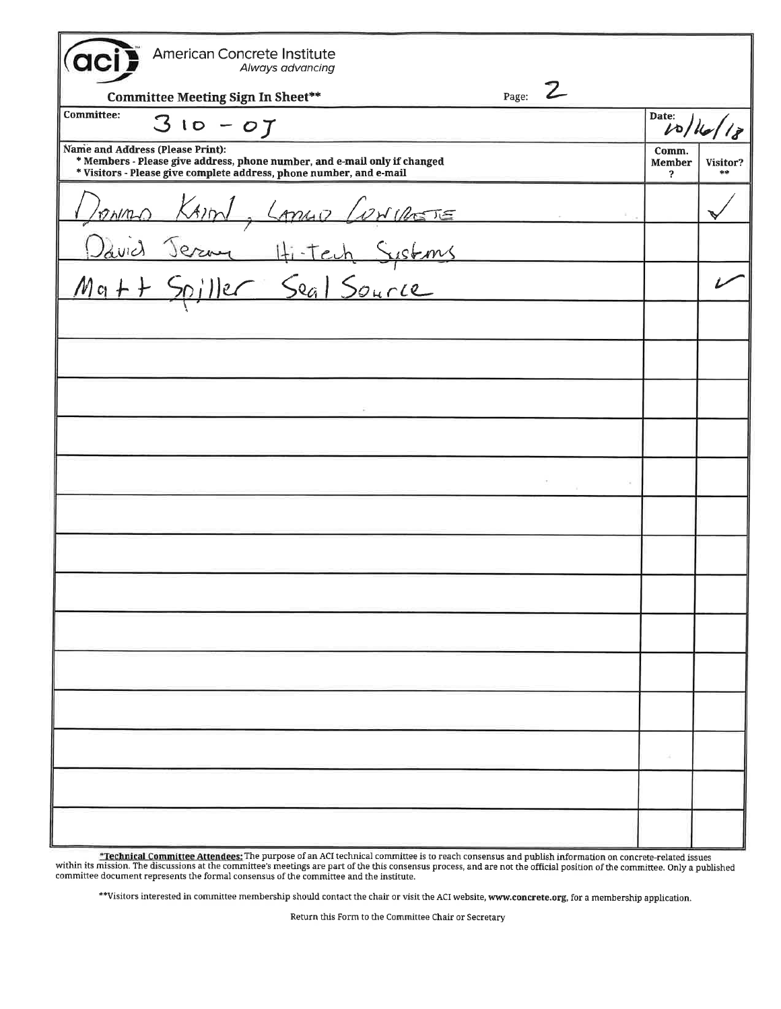| American Concrete Institute<br>Always advancing                                                                                                                                      |                      |          |
|--------------------------------------------------------------------------------------------------------------------------------------------------------------------------------------|----------------------|----------|
| Page: $Z$<br>Committee Meeting Sign In Sheet**                                                                                                                                       |                      |          |
| <b>Committee:</b><br>$310 - 07$                                                                                                                                                      | Date:<br>10/16       |          |
| Name and Address (Please Print):<br>* Members - Please give address, phone number, and e-mail only if changed<br>* Visitors - Please give complete address, phone number, and e-mail | Comm.<br>Member<br>2 | Visitor? |
|                                                                                                                                                                                      |                      |          |
| Donno Kim, Longo Concrete<br>David Jerme Hitch Systems<br>Matt Spiller Seal Source                                                                                                   |                      |          |
|                                                                                                                                                                                      |                      |          |
|                                                                                                                                                                                      |                      |          |
|                                                                                                                                                                                      |                      |          |
|                                                                                                                                                                                      |                      |          |
|                                                                                                                                                                                      |                      |          |
|                                                                                                                                                                                      |                      |          |
|                                                                                                                                                                                      |                      |          |
|                                                                                                                                                                                      |                      |          |
|                                                                                                                                                                                      |                      |          |
|                                                                                                                                                                                      |                      |          |
|                                                                                                                                                                                      |                      |          |
|                                                                                                                                                                                      |                      |          |
|                                                                                                                                                                                      |                      |          |
|                                                                                                                                                                                      |                      |          |
|                                                                                                                                                                                      |                      |          |

\*Technical Committee Attendees: The purpose of an ACI technical committee is to reach consensus and publish information on concrete-related issues<br>within its mission. The discussions at the committee's meetings are part of

\*\*Visitors interested in committee membership should contact the chair or visit the ACI website, www.concrete.org, for a membership application.

Return this Form to the Committee Chair or Secretary